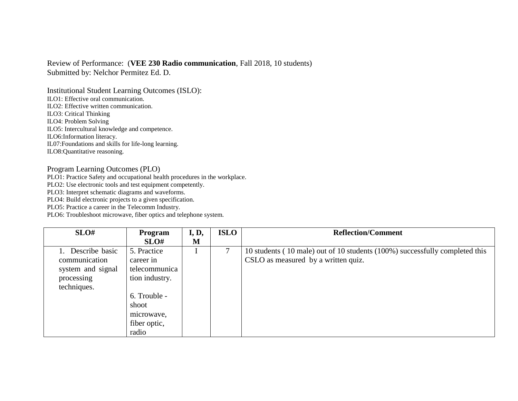## Review of Performance: (**VEE 230 Radio communication**, Fall 2018, 10 students)

Submitted by: Nelchor Permitez Ed. D.

Institutional Student Learning Outcomes (ISLO): ILO1: Effective oral communication. ILO2: Effective written communication. ILO3: Critical Thinking ILO4: Problem Solving

ILO5: Intercultural knowledge and competence.

ILO6:Information literacy.

IL07:Foundations and skills for life-long learning.

ILO8:Quantitative reasoning.

## Program Learning Outcomes (PLO)

PLO1: Practice Safety and occupational health procedures in the workplace.

PLO2: Use electronic tools and test equipment competently.

PLO3: Interpret schematic diagrams and waveforms.

PLO4: Build electronic projects to a given specification.

PLO5: Practice a career in the Telecomm Industry.

PLO6: Troubleshoot microwave, fiber optics and telephone system.

| SLO#              | Program        | I, D, | <b>ISLO</b> | <b>Reflection/Comment</b>                                                   |
|-------------------|----------------|-------|-------------|-----------------------------------------------------------------------------|
|                   | SLO#           | M     |             |                                                                             |
| 1. Describe basic | 5. Practice    |       |             | 10 students (10 male) out of 10 students (100%) successfully completed this |
| communication     | career in      |       |             | CSLO as measured by a written quiz.                                         |
| system and signal | telecommunica  |       |             |                                                                             |
| processing        | tion industry. |       |             |                                                                             |
| techniques.       |                |       |             |                                                                             |
|                   | 6. Trouble -   |       |             |                                                                             |
|                   | shoot          |       |             |                                                                             |
|                   | microwave,     |       |             |                                                                             |
|                   | fiber optic,   |       |             |                                                                             |
|                   | radio          |       |             |                                                                             |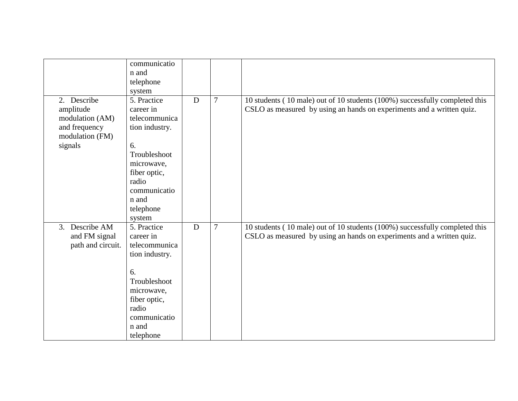|                                                              | communicatio<br>n and<br>telephone                                                                        |             |                |                                                                                                                                                      |
|--------------------------------------------------------------|-----------------------------------------------------------------------------------------------------------|-------------|----------------|------------------------------------------------------------------------------------------------------------------------------------------------------|
|                                                              | system                                                                                                    |             |                |                                                                                                                                                      |
| 2. Describe<br>amplitude<br>modulation (AM)<br>and frequency | 5. Practice<br>career in<br>telecommunica<br>tion industry.                                               | $\mathbf D$ | 7              | 10 students (10 male) out of 10 students (100%) successfully completed this<br>CSLO as measured by using an hands on experiments and a written quiz. |
| modulation (FM)                                              |                                                                                                           |             |                |                                                                                                                                                      |
| signals                                                      | 6.<br>Troubleshoot<br>microwave,<br>fiber optic,<br>radio<br>communicatio<br>n and<br>telephone<br>system |             |                |                                                                                                                                                      |
| Describe AM<br>3.                                            | 5. Practice                                                                                               | D           | $\overline{7}$ | 10 students (10 male) out of 10 students (100%) successfully completed this                                                                          |
| and FM signal                                                | career in                                                                                                 |             |                | CSLO as measured by using an hands on experiments and a written quiz.                                                                                |
| path and circuit.                                            | telecommunica                                                                                             |             |                |                                                                                                                                                      |
|                                                              | tion industry.                                                                                            |             |                |                                                                                                                                                      |
|                                                              | 6.                                                                                                        |             |                |                                                                                                                                                      |
|                                                              | Troubleshoot                                                                                              |             |                |                                                                                                                                                      |
|                                                              | microwave,                                                                                                |             |                |                                                                                                                                                      |
|                                                              | fiber optic,                                                                                              |             |                |                                                                                                                                                      |
|                                                              | radio                                                                                                     |             |                |                                                                                                                                                      |
|                                                              | communicatio                                                                                              |             |                |                                                                                                                                                      |
|                                                              | n and<br>telephone                                                                                        |             |                |                                                                                                                                                      |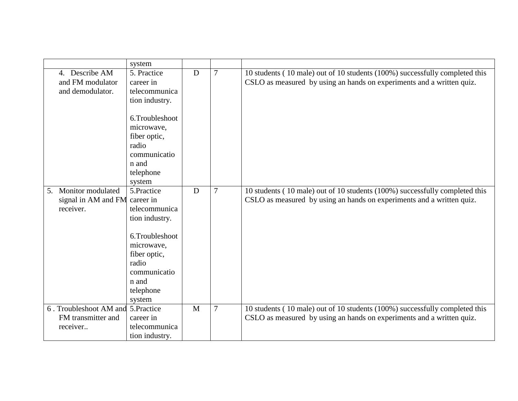|    |                                    | system          |              |                |                                                                             |
|----|------------------------------------|-----------------|--------------|----------------|-----------------------------------------------------------------------------|
|    | 4. Describe AM                     | 5. Practice     | D            | $\overline{7}$ | 10 students (10 male) out of 10 students (100%) successfully completed this |
|    | and FM modulator                   | career in       |              |                | CSLO as measured by using an hands on experiments and a written quiz.       |
|    | and demodulator.                   | telecommunica   |              |                |                                                                             |
|    |                                    | tion industry.  |              |                |                                                                             |
|    |                                    |                 |              |                |                                                                             |
|    |                                    | 6.Troubleshoot  |              |                |                                                                             |
|    |                                    | microwave,      |              |                |                                                                             |
|    |                                    | fiber optic,    |              |                |                                                                             |
|    |                                    | radio           |              |                |                                                                             |
|    |                                    | communicatio    |              |                |                                                                             |
|    |                                    | n and           |              |                |                                                                             |
|    |                                    | telephone       |              |                |                                                                             |
|    |                                    | system          |              |                |                                                                             |
| 5. | Monitor modulated                  | 5.Practice      | D            | $\overline{7}$ | 10 students (10 male) out of 10 students (100%) successfully completed this |
|    | signal in AM and FM                | career in       |              |                | CSLO as measured by using an hands on experiments and a written quiz.       |
|    | receiver.                          | telecommunica   |              |                |                                                                             |
|    |                                    | tion industry.  |              |                |                                                                             |
|    |                                    |                 |              |                |                                                                             |
|    |                                    | 6. Troubleshoot |              |                |                                                                             |
|    |                                    | microwave,      |              |                |                                                                             |
|    |                                    | fiber optic,    |              |                |                                                                             |
|    |                                    | radio           |              |                |                                                                             |
|    |                                    | communicatio    |              |                |                                                                             |
|    |                                    | n and           |              |                |                                                                             |
|    |                                    | telephone       |              |                |                                                                             |
|    |                                    | system          |              |                |                                                                             |
|    | 6. Troubleshoot AM and 5. Practice |                 | $\mathbf{M}$ | $\overline{7}$ | 10 students (10 male) out of 10 students (100%) successfully completed this |
|    | FM transmitter and                 | career in       |              |                | CSLO as measured by using an hands on experiments and a written quiz.       |
|    | receiver                           | telecommunica   |              |                |                                                                             |
|    |                                    | tion industry.  |              |                |                                                                             |